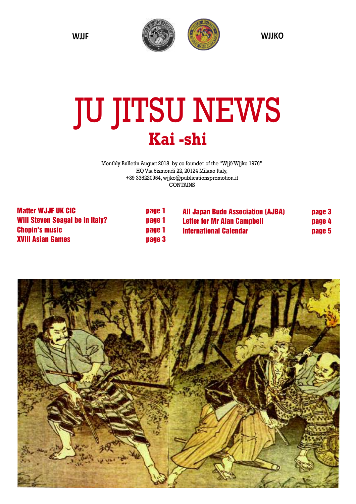

# JU JITSU NEWS **Kai -shi**

Monthly Bulletin August 2018 by co founder of the "Wjjf/Wjjko 1976" HQ Via Sismondi 22, 20124 Milano Italy, +39 335220954, wjjko@publicationspromotion.it CONTAINS

> **page** 1 **Will Steven Seagal be in Italy? page 1 Chopin's music page 1 Bage 3**

| <b>Matter WJJF UK CIC</b>              |
|----------------------------------------|
| <b>Will Steven Seagal be in Italy?</b> |
| <b>Chopin's music</b>                  |
| <b>XVIII Asian Games</b>               |

| <b>All Japan Budo Association (AJBA)</b> | page 3 |
|------------------------------------------|--------|
| <b>Letter for Mr Alan Campbell</b>       | page 4 |
| <b>International Calendar</b>            | page 5 |

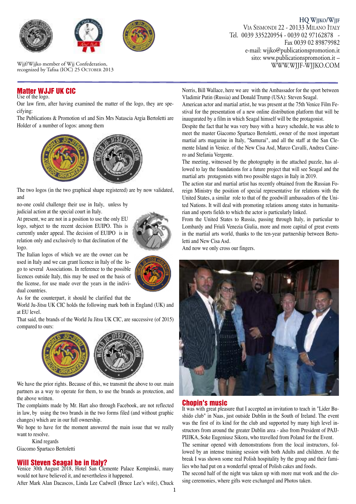

Wjjf/Wjjko member of Wjj Confederation, recognized by Tafisa (IOC) 25 OCTOBER 2013

#### **Matter WJJF UK CIC**

Use of the logo.

dual countries.

Our law firm, after having examined the matter of the logo, they are specifying:

The Publications & Promotion srl and Sirs Mrs Natascia Argia Bertoletti are Holder of a number of logos: among them



The two logos (in the two graphical shape registered) are by now validated, and

no-one could challenge their use in Italy, unless by judicial action at the special court in Italy.

At present, we are not in a position to use the only EU logo, subject to the recent decision EUIPO. This is currently under appeal. The decision of EUIPO is in relation only and exclusively to that declination of the logo.

The Italian logos of which we are the owner can be used in Italy and we can grant licence in Italy of the logo to several Associations. In reference to the possible licences outside Italy, this may be used on the basis of the license, for use made over the years in the indivi-

As for the counterpart, it should be clarified that the

World Ju-Jitsu UK CIC holds the following mark both in England (UK) and at EU level.

That said, the brands of the World Ju Jitsu UK CIC, are successive (of 2015) compared to ours:



We have the prior rights. Because of this, we transmit the above to our. main partners as a way to operate for them, to use the brands as protection, and the above written.

The complaints made by Mr. Hart also through Facebook, are not reflected in law, by using the two brands in the two forms filed (and without graphic changes) which are in our full ownership.

We hope to have for the moment answered the main issue that we really want to resolve.

Kind regards Giacomo Spartaco Bertoletti

#### **Will Steven Seagal be in Italy?**

Venice 30th August 2018, Hotel San Clemente Palace Kempinski, many would not have believed it, and nevertheless it happened.

After Mark Alan Dacascos, Linda Lee Cadwell (Bruce Lee's wife), Chuck

**HQ WJJKO/WJJF** VIA SISMONDI 22 - 20133 MILANO ITALY Tel. 0039 335220954 - 0039 02 97162878 - Fax 0039 02 89879982 e-mail: wjjko@publicationspromotion.it sito: www.publicationspromotion.it –<br>WWW.WJJF-WJJKO.COM

Norris, Bill Wallace, here we are with the Ambassador for the sport between Vladimir Putin (Russia) and Donald Trump (USA): Steven Seagal.

American actor and martial artist, he was present at the 75th Venice Film Festival for the presentation of a new online distribution platform that will be inaugurated by a film in which Seagal himself will be the protagonist.

Despite the fact that he was very busy with a heavy schedule, he was able to meet the master Giacomo Spartaco Bertoletti, owner of the most important martial arts magazine in Italy, "Samurai", and all the staff at the San Clemente Island in Venice. of the New Cisa Asd, Marco Cavalli, Andrea Cainero and Stefania Vergente.

The meeting, witnessed by the photography in the attached puzzle, has allowed to lay the foundations for a future project that will see Seagal and the martial arts protagonists with two possible stages in Italy in 2019.

The action star and martial artist has recently obtained from the Russian Foreign Ministry the position of special representative for relations with the United States, a similar role to that of the goodwill ambassadors of the United Nations. It will deal with promoting relations among states in humanitarian and sports fields to which the actor is particularly linked.

From the United States to Russia, passing through Italy, in particular to Lombardy and Friuli Venezia Giulia, more and more capital of great events in the martial arts world, thanks to the ten-year partnership between Bertoletti and New Cisa Asd.

And now we only cross our fingers.



#### **Chopin's music**

It was with great pleasure that I accepted an invitation to teach in "Lider Bushido club" in Naas, just outside Dublin in the South of Ireland. The event was the first of its kind for the club and supported by many high level instructors from around the greater Dublin area - also from President of PAJJ-PIJJKA, Soke Eugeniusz Sikora, who travelled from Poland for the Event.

The seminar opened with demonstrations from the local instructors, followed by an intense training session with both Adults and children. At the break I was shown some real Polish hospitality by the group and their families who had put on a wonderful spread of Polish cakes and foods.

The second half of the night was taken up with more mat work and the closing ceremonies, where gifts were exchanged and Photos taken.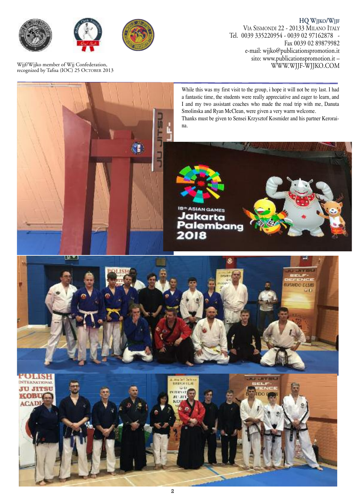





Wjjf/Wjjko member of Wjj Confederation, recognized by Tafisa (IOC) 25 OCTOBER 2013

**HQ WJJKO/WJJF** VIA SISMONDI 22 - 20133 MILANO ITALY Tel. 0039 335220954 - 0039 02 97162878 - Fax 0039 02 89879982 e-mail: wjjko@publicationspromotion.it sito: www.publicationspromotion.it –<br>WWW.WJJF-WJJKO.COM

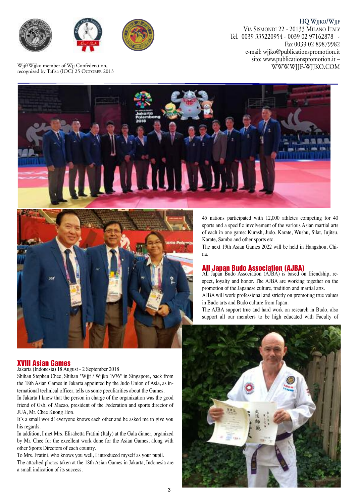

**HQ WJJKO/WJJF** VIA SISMONDI 22 - 20133 MILANO ITALY Tel. 0039 335220954 - 0039 02 97162878 - Fax 0039 02 89879982 e-mail: wjjko@publicationspromotion.it sito: www.publicationspromotion.it –<br>WWW.WJJF-WJJKO.COM

Wjjf/Wjjko member of Wjj Confederation, recognized by Tafisa (IOC) 25 OCTOBER 2013





45 nations participated with 12,000 athletes competing for 40 sports and a specific involvement of the various Asian martial arts of each in one game: Kurash, Judo, Karate, Wushu, Silat, Jujitsu, Karate, Sambo and other sports etc.

The next 19th Asian Games 2022 will be held in Hangzhou, China.

#### **All Japan Budo Association (AJBA)**

All Japan Budo Association (AJBA) is based on friendship, respect, loyalty and honor. The AJBA are working together on the promotion of the Japanese culture, tradition and martial arts.

AJBA will work professional and strictly on promoting true values in Budo arts and Budo culture from Japan.

The AJBA support true and hard work on research in Budo, also support all our members to be high educated with Faculty of

#### **XVIII Asian Games**

Jakarta (Indonesia) 18 August - 2 September 2018

Shihan Stephen Chee, Shihan "Wjjf / Wjjko 1976" in Singapore, back from the 18th Asian Games in Jakarta appointed by the Judo Union of Asia, as international technical officer, tells us some peculiarities about the Games.

In Jakarta I knew that the person in charge of the organization was the good friend of Gsb, of Macao, president of the Federation and sports director of JUA, Mr. Chee Kuong Hon.

It's a small world! everyone knows each other and he asked me to give you his regards.

In addition, I met Mrs. Elisabetta Fratini (Italy) at the Gala dinner, organized by Mr. Chee for the excellent work done for the Asian Games, along with other Sports Directors of each country.

To Mrs. Fratini, who knows you well, I introduced myself as your pupil. The attached photos taken at the 18th Asian Games in Jakarta, Indonesia are a small indication of its success.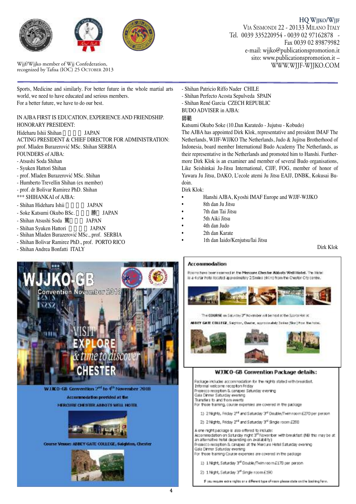





Wijf/Wijko member of Wij Confederation,<br>
recognized by Tafisa (IOC) 25 OCTOBER 2013<br>
WWW.WJJF-WJJKO.COM

**HQ WJJKO/WJJF** VIA SISMONDI 22 - 20133 MILANO ITALY Tel. 0039 335220954 - 0039 02 97162878 - Fax 0039 02 89879982 e-mail: wjjko@publicationspromotion.it sito: www.publicationspromotion.it –

Sports, Medicine and similarly. For better future in the whole martial arts world, we need to have educated and serious members. For a better future, we have to do our best.

#### IN AJBA FIRST IS EDUCATION, EXPERIENCE AND FRIENDSHIP. HONORARY PRESIDENT:

Hideharu Ishii Shihan JAPAN ACTING PRESIDENT & CHIEF DIRECTOR FOR ADMINISTRATION: prof. Mladen Burazerović MSc. Shihan SERBIA FOUNDERS of AJBA:

- Atsushi Soda Shihan
- Syuken Hattori Shihan
- prof. Mladen Burazerović MSc. Shihan
- Humberto Trevellin Shihan (ex member)
- prof. dr Bolivar Ramirez PhD. Shihan
- \*\*\* SHIHANKAI of AJBA:
- Shihan Hideharu Ishii JAPAN
- Soke Katsumi Okubo BSc. 勝 JAPAN
- Shihan Atsushi Soda 筐 JAPAN
- 
- Shihan Syuken Hattori JAPAN
- Shihan Mladen Burazerović MSc., prof. SERBIA
- Shihan Bolivar Ramirez PhD., prof. PORTO RICO
- Shihan Andrea Bonfatti ITALY



WJK0-68 Convention 2<sup>nd</sup> to 4<sup>th</sup> November 2018 Accompodation provided at the **NERCURE CHESTER ABBOTS WELL HOTEL** 



Course Venue: ADBEY GATE COLLEGE, Salghton, Chester



- Shihan Patricio Riffo Nader CHILE

- Shihan Perfecto Acosta Sepulveda SPAIN
- Shihan René Garcia CZECH REPUBLIC
- BUDO ADVISER in AJBA:

#### 師範

Katsumi Okubo Soke (10.Dan Karatedo - Jujutsu - Kobudo)

The AJBA has appointed Dirk Klok, representative and president IMAF The Netherlands, WJJF-WJJKO The Netherlands, Judo & Jujitsu Brotherhood of Indonesia, board member International Budo Academy The Netherlands, as their representative in the Netherlands and promoted him to Hanshi. Furthermore Dirk Klok is an examiner and member of several Budo organisations, Like Seishinkai Ju-Jitsu International, CJJF, FOG, member of honor of Yawara Ju Jitsu, DAKO, L'ecole atemi Ju Jitsu EAJJ, DNBK, Kokusai Budoin.

Dirk Klok:

- Hanshi AJBA, Kyoshi IMAF Europe and WJJF-WJJKO
- 8th dan Ju Jitsu
- 7th dan Tai Jitsu
- 5th Aiki Jitsu
- 4th dan Judo
- 2th dan Karate
- 1th dan Iaido/Kenjutsu/Iai Jitsu

Dirk Klok

#### Accommodation

Rooms have been reserved in the Mencure. Chevrier Abbats Well Hotel. The Hotel is a 4 star hotel tocated approximately 2.5miles MK market the Chester City contro.





#### WJJK 0-GB Convention Package details:

Package includes accommodation for the nights stated with breakfast. Informal welcome reception Friday Prosecco reception & canapes Saturday evening Gala Dinner Saturday evering Transfers to and from events For those training, course expenses are covered in the package 1) 2 Nights, Friday 2<sup>nd</sup> and Saturday 3<sup>nd</sup> Double/Twin room E270 per person 2) 2 Nights, Friday 2<sup>nd</sup> and Saturday 3<sup>d</sup> Single room £200 A one night package is also offered to include: Accommodation on Saturday night 3<sup>rd</sup> November with breakfast (NB this may be at an alternative hotel depending on availability) Prosecco reception & canapes at the Mercure Hotel Saturday evening Gala Dinner Saturday evering For those training Course expenses are covered in the padcage 1) 1 Night, Saturday 3<sup>rd</sup> Double/Twin room £170 per person 2) 1 Night, Saturday 3rd Single room £190

P you require extra nights are different type of room please state on the booking form.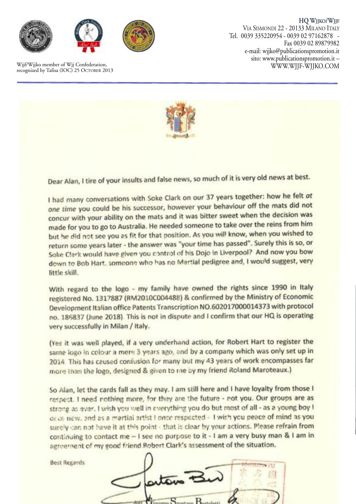

Wjjf/Wjjko member of Wjj Confederation,<br>recognized by Tafisa (IOC) 25 OCTOBER 2013

**HQ WJJKO/WJJF** VIA SISMONDI 22 - 20133 MILANO ITALY Tel. 0039 335220954 - 0039 02 97162878 - Fax 0039 02 89879982 e-mail: wjjko@publicationspromotion.it sito: www.publicationspromotion.it –



Dear Alan, I tire of your insults and false news, so much of it is very old news at best.

I had many conversations with Soke Clark on our 37 years together: how he felt at one time you could be his successor, however your behaviour off the mats did not concur with your ability on the mats and it was bitter sweet when the decision was made for you to go to Australia. He needed someone to take over the reins from him but he did not see you as fit for that position. As you will know, when you wished to return some years later - the answer was "your time has passed". Surely this is so, or Soke Clark would have given you control of his Dojo in Liverpool? And now you bow down to Bob Hart, someone who has no Martial pedigree and, I would suggest, very little skill.

With regard to the logo - my family have owned the rights since 1990 in Italy registered No. 1317887 (RM2010C004488) & confirmed by the Ministry of Economic Development Italian office Patents Transcription NO.602017000014373 with protocol no. 186837 (June 2018). This is not in dispute and I confirm that our HQ is operating very successfully in Milan / Italy.

(Yes it was well played, if a very underhand action, for Robert Hart to register the same logo in colour a mere 3 years ago, and by a company which was only set up in 2014. This has ceused confusion for many but my 43 years of work encompasses far more than the logo, designed & given to me by my friend Roland Maroteaux.)

So Alan, let the cards fall as they may. I am still here and I have loyalty from those I respect. I need nothing more, for they are the future - not you. Our groups are as strong as ever. I wish you well in everything you do but most of all - as a young boy I or de new, and as a martial artist I once respected - I wish you peace of mind as you surely can not have it at this point - that is clear by your actions. Please refrain from continuing to contact me - I see no purpose to it - I am a very busy man & I am in agreement of my good friend Robert Clark's assessment of the situation.

**Best Regards** 

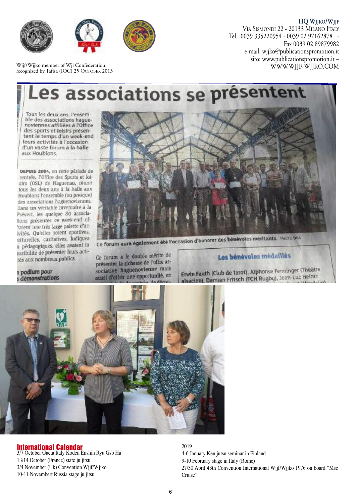

Wjjf/Wjjko member of Wjj Confederation, recognized by Tafisa (IOC) 25 OCTOBER 2013

**HQ WJJKO/WJJF** VIA SISMONDI 22 - 20133 MILANO ITALY Tel. 0039 335220954 - 0039 02 97162878 - Fax 0039 02 89879982 e-mail: wjjko@publicationspromotion.it sito: www.publicationspromotion.it –<br>WWW.WJJF-WJJKO.COM

## es associations se présentent

Tous les deux ans, l'ensemble des associations haquenoviennes affiliées à l'Office des sports et loisirs présentent le temps d'un week-end leurs activités à l'occasion d'un vaste forum à la halle aux Houblons.

DEPUIS 2004, en cette période de rentrée, l'Office des Sports et loisirs (OSL) de Haguenau, réunit tous les deux ans à la halle aux Houblons l'ensemble (ou presque) des associations haguenoviennes. Dans un wiritable inventaire à la Prévert, les quelque 80 associations présentes ce week-end ofraient une très large palette d'acivités. Qu'elles soient sportives, ulturelles, caritatives, lodiques u pédagogiques, elles avaient la ossibilité de présenter leurs actités aux nombreux publics.



n podium pour<br>s démonstrations

Ce forum a le double mérite de présenter la richesse de l'offre associative haguenovienne mais aussi d'offrir une opportunité, en

### Les bénévoles médaillés

Erwin Fauth (Club de tarot), Alphonse Fenninger (Théâtre Erwin Fauth (Club de tarou), Alphonse Fernando<br>alsacien), Damien Fritsch (FCH Rugby), Jean-Luc Heintz



#### **International Calendar**

3/7 October Gaeta Italy Koden Enshin Ryu Gsb Ha 13/14 October (France) state ju jitsu 3/4 November (Uk) Convention Wjjf/Wjjko 10-11 Novembert Russia stage ju jitsu

2019 4-6 January Ken jutsu seminar in Finland 9-10 February stage in Italy (Rome) 27/30 April 43th Convention International Wjjf/Wjjko 1976 on board "Msc Cruise"